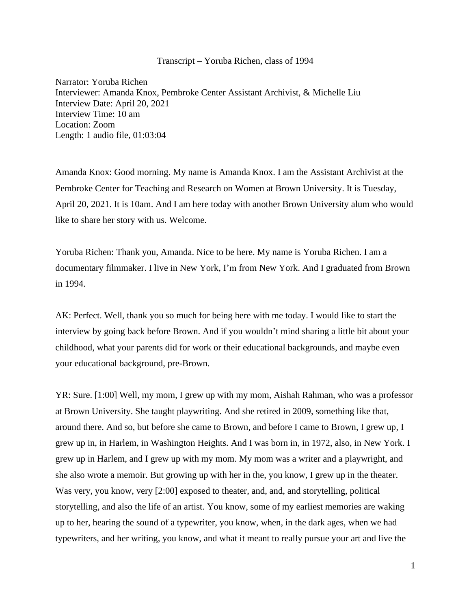## Transcript – Yoruba Richen, class of 1994

Narrator: Yoruba Richen Interviewer: Amanda Knox, Pembroke Center Assistant Archivist, & Michelle Liu Interview Date: April 20, 2021 Interview Time: 10 am Location: Zoom Length: 1 audio file, 01:03:04

Amanda Knox: Good morning. My name is Amanda Knox. I am the Assistant Archivist at the Pembroke Center for Teaching and Research on Women at Brown University. It is Tuesday, April 20, 2021. It is 10am. And I am here today with another Brown University alum who would like to share her story with us. Welcome.

Yoruba Richen: Thank you, Amanda. Nice to be here. My name is Yoruba Richen. I am a documentary filmmaker. I live in New York, I'm from New York. And I graduated from Brown in 1994.

AK: Perfect. Well, thank you so much for being here with me today. I would like to start the interview by going back before Brown. And if you wouldn't mind sharing a little bit about your childhood, what your parents did for work or their educational backgrounds, and maybe even your educational background, pre-Brown.

YR: Sure. [1:00] Well, my mom, I grew up with my mom, Aishah Rahman, who was a professor at Brown University. She taught playwriting. And she retired in 2009, something like that, around there. And so, but before she came to Brown, and before I came to Brown, I grew up, I grew up in, in Harlem, in Washington Heights. And I was born in, in 1972, also, in New York. I grew up in Harlem, and I grew up with my mom. My mom was a writer and a playwright, and she also wrote a memoir. But growing up with her in the, you know, I grew up in the theater. Was very, you know, very [2:00] exposed to theater, and, and, and storytelling, political storytelling, and also the life of an artist. You know, some of my earliest memories are waking up to her, hearing the sound of a typewriter, you know, when, in the dark ages, when we had typewriters, and her writing, you know, and what it meant to really pursue your art and live the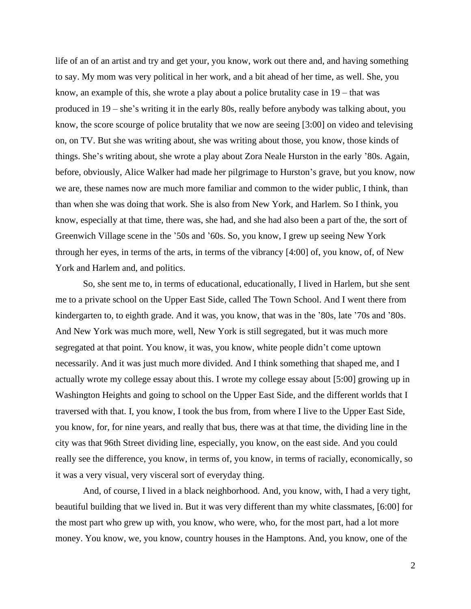life of an of an artist and try and get your, you know, work out there and, and having something to say. My mom was very political in her work, and a bit ahead of her time, as well. She, you know, an example of this, she wrote a play about a police brutality case in 19 – that was produced in 19 – she's writing it in the early 80s, really before anybody was talking about, you know, the score scourge of police brutality that we now are seeing [3:00] on video and televising on, on TV. But she was writing about, she was writing about those, you know, those kinds of things. She's writing about, she wrote a play about Zora Neale Hurston in the early '80s. Again, before, obviously, Alice Walker had made her pilgrimage to Hurston's grave, but you know, now we are, these names now are much more familiar and common to the wider public, I think, than than when she was doing that work. She is also from New York, and Harlem. So I think, you know, especially at that time, there was, she had, and she had also been a part of the, the sort of Greenwich Village scene in the '50s and '60s. So, you know, I grew up seeing New York through her eyes, in terms of the arts, in terms of the vibrancy [4:00] of, you know, of, of New York and Harlem and, and politics.

So, she sent me to, in terms of educational, educationally, I lived in Harlem, but she sent me to a private school on the Upper East Side, called The Town School. And I went there from kindergarten to, to eighth grade. And it was, you know, that was in the '80s, late '70s and '80s. And New York was much more, well, New York is still segregated, but it was much more segregated at that point. You know, it was, you know, white people didn't come uptown necessarily. And it was just much more divided. And I think something that shaped me, and I actually wrote my college essay about this. I wrote my college essay about [5:00] growing up in Washington Heights and going to school on the Upper East Side, and the different worlds that I traversed with that. I, you know, I took the bus from, from where I live to the Upper East Side, you know, for, for nine years, and really that bus, there was at that time, the dividing line in the city was that 96th Street dividing line, especially, you know, on the east side. And you could really see the difference, you know, in terms of, you know, in terms of racially, economically, so it was a very visual, very visceral sort of everyday thing.

And, of course, I lived in a black neighborhood. And, you know, with, I had a very tight, beautiful building that we lived in. But it was very different than my white classmates, [6:00] for the most part who grew up with, you know, who were, who, for the most part, had a lot more money. You know, we, you know, country houses in the Hamptons. And, you know, one of the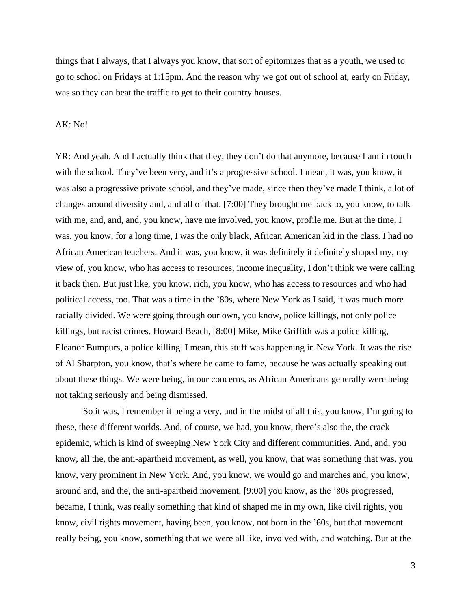things that I always, that I always you know, that sort of epitomizes that as a youth, we used to go to school on Fridays at 1:15pm. And the reason why we got out of school at, early on Friday, was so they can beat the traffic to get to their country houses.

## AK: No!

YR: And yeah. And I actually think that they, they don't do that anymore, because I am in touch with the school. They've been very, and it's a progressive school. I mean, it was, you know, it was also a progressive private school, and they've made, since then they've made I think, a lot of changes around diversity and, and all of that. [7:00] They brought me back to, you know, to talk with me, and, and, and, you know, have me involved, you know, profile me. But at the time, I was, you know, for a long time, I was the only black, African American kid in the class. I had no African American teachers. And it was, you know, it was definitely it definitely shaped my, my view of, you know, who has access to resources, income inequality, I don't think we were calling it back then. But just like, you know, rich, you know, who has access to resources and who had political access, too. That was a time in the '80s, where New York as I said, it was much more racially divided. We were going through our own, you know, police killings, not only police killings, but racist crimes. Howard Beach, [8:00] Mike, Mike Griffith was a police killing, Eleanor Bumpurs, a police killing. I mean, this stuff was happening in New York. It was the rise of Al Sharpton, you know, that's where he came to fame, because he was actually speaking out about these things. We were being, in our concerns, as African Americans generally were being not taking seriously and being dismissed.

So it was, I remember it being a very, and in the midst of all this, you know, I'm going to these, these different worlds. And, of course, we had, you know, there's also the, the crack epidemic, which is kind of sweeping New York City and different communities. And, and, you know, all the, the anti-apartheid movement, as well, you know, that was something that was, you know, very prominent in New York. And, you know, we would go and marches and, you know, around and, and the, the anti-apartheid movement, [9:00] you know, as the '80s progressed, became, I think, was really something that kind of shaped me in my own, like civil rights, you know, civil rights movement, having been, you know, not born in the '60s, but that movement really being, you know, something that we were all like, involved with, and watching. But at the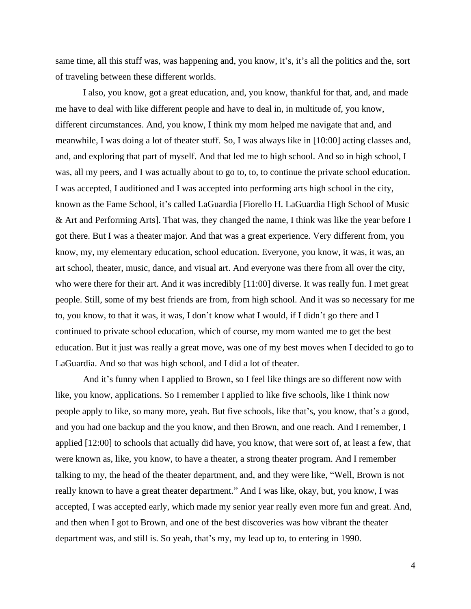same time, all this stuff was, was happening and, you know, it's, it's all the politics and the, sort of traveling between these different worlds.

I also, you know, got a great education, and, you know, thankful for that, and, and made me have to deal with like different people and have to deal in, in multitude of, you know, different circumstances. And, you know, I think my mom helped me navigate that and, and meanwhile, I was doing a lot of theater stuff. So, I was always like in [10:00] acting classes and, and, and exploring that part of myself. And that led me to high school. And so in high school, I was, all my peers, and I was actually about to go to, to, to continue the private school education. I was accepted, I auditioned and I was accepted into performing arts high school in the city, known as the Fame School, it's called LaGuardia [Fiorello H. LaGuardia High School of Music & Art and Performing Arts]. That was, they changed the name, I think was like the year before I got there. But I was a theater major. And that was a great experience. Very different from, you know, my, my elementary education, school education. Everyone, you know, it was, it was, an art school, theater, music, dance, and visual art. And everyone was there from all over the city, who were there for their art. And it was incredibly [11:00] diverse. It was really fun. I met great people. Still, some of my best friends are from, from high school. And it was so necessary for me to, you know, to that it was, it was, I don't know what I would, if I didn't go there and I continued to private school education, which of course, my mom wanted me to get the best education. But it just was really a great move, was one of my best moves when I decided to go to LaGuardia. And so that was high school, and I did a lot of theater.

And it's funny when I applied to Brown, so I feel like things are so different now with like, you know, applications. So I remember I applied to like five schools, like I think now people apply to like, so many more, yeah. But five schools, like that's, you know, that's a good, and you had one backup and the you know, and then Brown, and one reach. And I remember, I applied [12:00] to schools that actually did have, you know, that were sort of, at least a few, that were known as, like, you know, to have a theater, a strong theater program. And I remember talking to my, the head of the theater department, and, and they were like, "Well, Brown is not really known to have a great theater department." And I was like, okay, but, you know, I was accepted, I was accepted early, which made my senior year really even more fun and great. And, and then when I got to Brown, and one of the best discoveries was how vibrant the theater department was, and still is. So yeah, that's my, my lead up to, to entering in 1990.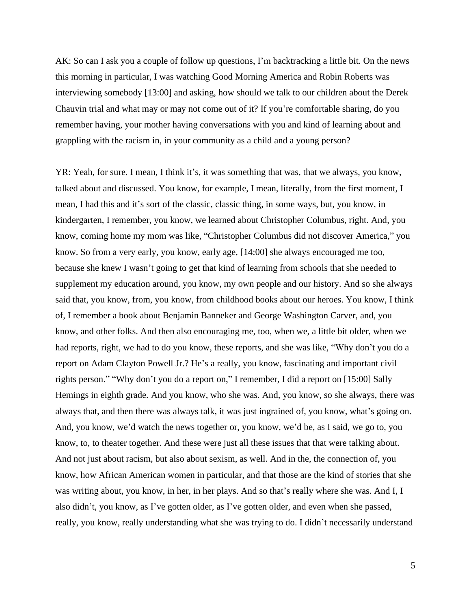AK: So can I ask you a couple of follow up questions, I'm backtracking a little bit. On the news this morning in particular, I was watching Good Morning America and Robin Roberts was interviewing somebody [13:00] and asking, how should we talk to our children about the Derek Chauvin trial and what may or may not come out of it? If you're comfortable sharing, do you remember having, your mother having conversations with you and kind of learning about and grappling with the racism in, in your community as a child and a young person?

YR: Yeah, for sure. I mean, I think it's, it was something that was, that we always, you know, talked about and discussed. You know, for example, I mean, literally, from the first moment, I mean, I had this and it's sort of the classic, classic thing, in some ways, but, you know, in kindergarten, I remember, you know, we learned about Christopher Columbus, right. And, you know, coming home my mom was like, "Christopher Columbus did not discover America," you know. So from a very early, you know, early age, [14:00] she always encouraged me too, because she knew I wasn't going to get that kind of learning from schools that she needed to supplement my education around, you know, my own people and our history. And so she always said that, you know, from, you know, from childhood books about our heroes. You know, I think of, I remember a book about Benjamin Banneker and George Washington Carver, and, you know, and other folks. And then also encouraging me, too, when we, a little bit older, when we had reports, right, we had to do you know, these reports, and she was like, "Why don't you do a report on Adam Clayton Powell Jr.? He's a really, you know, fascinating and important civil rights person." "Why don't you do a report on," I remember, I did a report on [15:00] Sally Hemings in eighth grade. And you know, who she was. And, you know, so she always, there was always that, and then there was always talk, it was just ingrained of, you know, what's going on. And, you know, we'd watch the news together or, you know, we'd be, as I said, we go to, you know, to, to theater together. And these were just all these issues that that were talking about. And not just about racism, but also about sexism, as well. And in the, the connection of, you know, how African American women in particular, and that those are the kind of stories that she was writing about, you know, in her, in her plays. And so that's really where she was. And I, I also didn't, you know, as I've gotten older, as I've gotten older, and even when she passed, really, you know, really understanding what she was trying to do. I didn't necessarily understand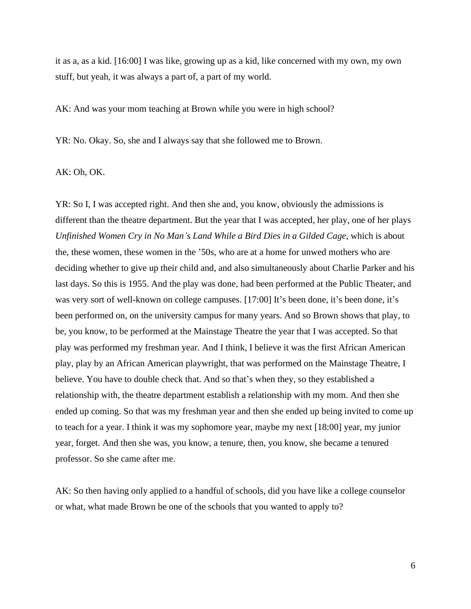it as a, as a kid. [16:00] I was like, growing up as a kid, like concerned with my own, my own stuff, but yeah, it was always a part of, a part of my world.

AK: And was your mom teaching at Brown while you were in high school?

YR: No. Okay. So, she and I always say that she followed me to Brown.

AK: Oh, OK.

YR: So I, I was accepted right. And then she and, you know, obviously the admissions is different than the theatre department. But the year that I was accepted, her play, one of her plays *Unfinished Women Cry in No Man's Land While a Bird Dies in a Gilded Cage*, which is about the, these women, these women in the '50s, who are at a home for unwed mothers who are deciding whether to give up their child and, and also simultaneously about Charlie Parker and his last days. So this is 1955. And the play was done, had been performed at the Public Theater, and was very sort of well-known on college campuses. [17:00] It's been done, it's been done, it's been performed on, on the university campus for many years. And so Brown shows that play, to be, you know, to be performed at the Mainstage Theatre the year that I was accepted. So that play was performed my freshman year. And I think, I believe it was the first African American play, play by an African American playwright, that was performed on the Mainstage Theatre, I believe. You have to double check that. And so that's when they, so they established a relationship with, the theatre department establish a relationship with my mom. And then she ended up coming. So that was my freshman year and then she ended up being invited to come up to teach for a year. I think it was my sophomore year, maybe my next [18:00] year, my junior year, forget. And then she was, you know, a tenure, then, you know, she became a tenured professor. So she came after me.

AK: So then having only applied to a handful of schools, did you have like a college counselor or what, what made Brown be one of the schools that you wanted to apply to?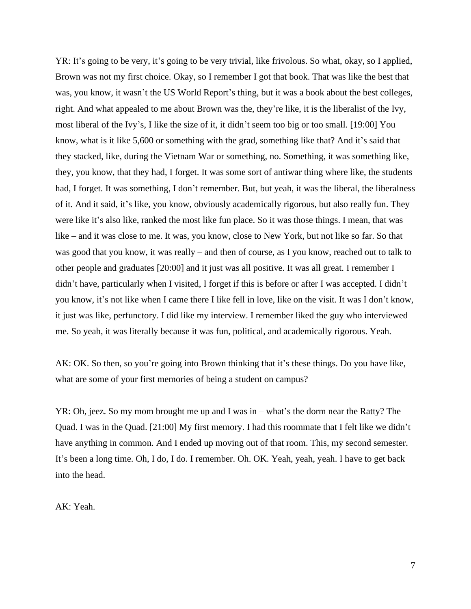YR: It's going to be very, it's going to be very trivial, like frivolous. So what, okay, so I applied, Brown was not my first choice. Okay, so I remember I got that book. That was like the best that was, you know, it wasn't the US World Report's thing, but it was a book about the best colleges, right. And what appealed to me about Brown was the, they're like, it is the liberalist of the Ivy, most liberal of the Ivy's, I like the size of it, it didn't seem too big or too small. [19:00] You know, what is it like 5,600 or something with the grad, something like that? And it's said that they stacked, like, during the Vietnam War or something, no. Something, it was something like, they, you know, that they had, I forget. It was some sort of antiwar thing where like, the students had, I forget. It was something, I don't remember. But, but yeah, it was the liberal, the liberalness of it. And it said, it's like, you know, obviously academically rigorous, but also really fun. They were like it's also like, ranked the most like fun place. So it was those things. I mean, that was like – and it was close to me. It was, you know, close to New York, but not like so far. So that was good that you know, it was really – and then of course, as I you know, reached out to talk to other people and graduates [20:00] and it just was all positive. It was all great. I remember I didn't have, particularly when I visited, I forget if this is before or after I was accepted. I didn't you know, it's not like when I came there I like fell in love, like on the visit. It was I don't know, it just was like, perfunctory. I did like my interview. I remember liked the guy who interviewed me. So yeah, it was literally because it was fun, political, and academically rigorous. Yeah.

AK: OK. So then, so you're going into Brown thinking that it's these things. Do you have like, what are some of your first memories of being a student on campus?

YR: Oh, jeez. So my mom brought me up and I was in – what's the dorm near the Ratty? The Quad. I was in the Quad. [21:00] My first memory. I had this roommate that I felt like we didn't have anything in common. And I ended up moving out of that room. This, my second semester. It's been a long time. Oh, I do, I do. I remember. Oh. OK. Yeah, yeah, yeah. I have to get back into the head.

AK: Yeah.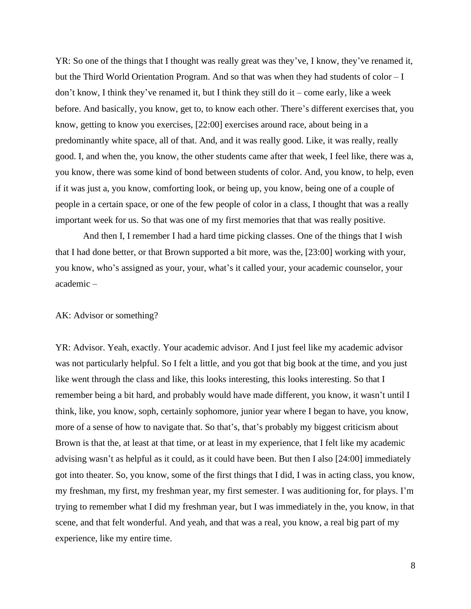YR: So one of the things that I thought was really great was they've, I know, they've renamed it, but the Third World Orientation Program. And so that was when they had students of color – I don't know, I think they've renamed it, but I think they still do it – come early, like a week before. And basically, you know, get to, to know each other. There's different exercises that, you know, getting to know you exercises, [22:00] exercises around race, about being in a predominantly white space, all of that. And, and it was really good. Like, it was really, really good. I, and when the, you know, the other students came after that week, I feel like, there was a, you know, there was some kind of bond between students of color. And, you know, to help, even if it was just a, you know, comforting look, or being up, you know, being one of a couple of people in a certain space, or one of the few people of color in a class, I thought that was a really important week for us. So that was one of my first memories that that was really positive.

And then I, I remember I had a hard time picking classes. One of the things that I wish that I had done better, or that Brown supported a bit more, was the, [23:00] working with your, you know, who's assigned as your, your, what's it called your, your academic counselor, your academic –

## AK: Advisor or something?

YR: Advisor. Yeah, exactly. Your academic advisor. And I just feel like my academic advisor was not particularly helpful. So I felt a little, and you got that big book at the time, and you just like went through the class and like, this looks interesting, this looks interesting. So that I remember being a bit hard, and probably would have made different, you know, it wasn't until I think, like, you know, soph, certainly sophomore, junior year where I began to have, you know, more of a sense of how to navigate that. So that's, that's probably my biggest criticism about Brown is that the, at least at that time, or at least in my experience, that I felt like my academic advising wasn't as helpful as it could, as it could have been. But then I also [24:00] immediately got into theater. So, you know, some of the first things that I did, I was in acting class, you know, my freshman, my first, my freshman year, my first semester. I was auditioning for, for plays. I'm trying to remember what I did my freshman year, but I was immediately in the, you know, in that scene, and that felt wonderful. And yeah, and that was a real, you know, a real big part of my experience, like my entire time.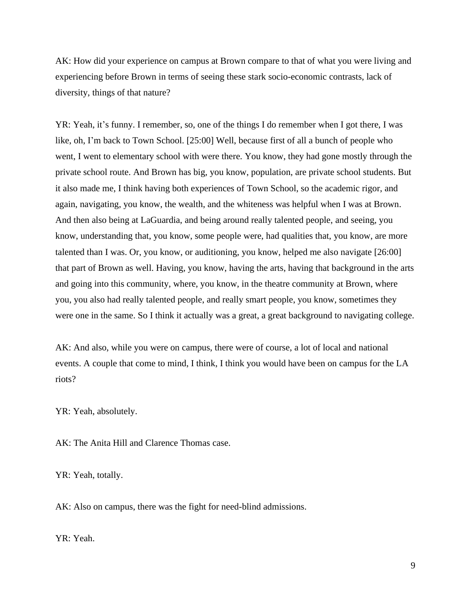AK: How did your experience on campus at Brown compare to that of what you were living and experiencing before Brown in terms of seeing these stark socio-economic contrasts, lack of diversity, things of that nature?

YR: Yeah, it's funny. I remember, so, one of the things I do remember when I got there, I was like, oh, I'm back to Town School. [25:00] Well, because first of all a bunch of people who went, I went to elementary school with were there. You know, they had gone mostly through the private school route. And Brown has big, you know, population, are private school students. But it also made me, I think having both experiences of Town School, so the academic rigor, and again, navigating, you know, the wealth, and the whiteness was helpful when I was at Brown. And then also being at LaGuardia, and being around really talented people, and seeing, you know, understanding that, you know, some people were, had qualities that, you know, are more talented than I was. Or, you know, or auditioning, you know, helped me also navigate [26:00] that part of Brown as well. Having, you know, having the arts, having that background in the arts and going into this community, where, you know, in the theatre community at Brown, where you, you also had really talented people, and really smart people, you know, sometimes they were one in the same. So I think it actually was a great, a great background to navigating college.

AK: And also, while you were on campus, there were of course, a lot of local and national events. A couple that come to mind, I think, I think you would have been on campus for the LA riots?

YR: Yeah, absolutely.

AK: The Anita Hill and Clarence Thomas case.

YR: Yeah, totally.

AK: Also on campus, there was the fight for need-blind admissions.

YR: Yeah.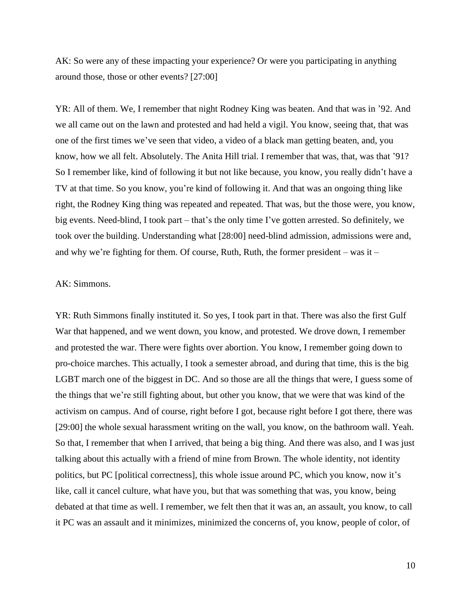AK: So were any of these impacting your experience? Or were you participating in anything around those, those or other events? [27:00]

YR: All of them. We, I remember that night Rodney King was beaten. And that was in '92. And we all came out on the lawn and protested and had held a vigil. You know, seeing that, that was one of the first times we've seen that video, a video of a black man getting beaten, and, you know, how we all felt. Absolutely. The Anita Hill trial. I remember that was, that, was that '91? So I remember like, kind of following it but not like because, you know, you really didn't have a TV at that time. So you know, you're kind of following it. And that was an ongoing thing like right, the Rodney King thing was repeated and repeated. That was, but the those were, you know, big events. Need-blind, I took part – that's the only time I've gotten arrested. So definitely, we took over the building. Understanding what [28:00] need-blind admission, admissions were and, and why we're fighting for them. Of course, Ruth, Ruth, the former president – was it –

## AK: Simmons.

YR: Ruth Simmons finally instituted it. So yes, I took part in that. There was also the first Gulf War that happened, and we went down, you know, and protested. We drove down, I remember and protested the war. There were fights over abortion. You know, I remember going down to pro-choice marches. This actually, I took a semester abroad, and during that time, this is the big LGBT march one of the biggest in DC. And so those are all the things that were, I guess some of the things that we're still fighting about, but other you know, that we were that was kind of the activism on campus. And of course, right before I got, because right before I got there, there was [29:00] the whole sexual harassment writing on the wall, you know, on the bathroom wall. Yeah. So that, I remember that when I arrived, that being a big thing. And there was also, and I was just talking about this actually with a friend of mine from Brown. The whole identity, not identity politics, but PC [political correctness], this whole issue around PC, which you know, now it's like, call it cancel culture, what have you, but that was something that was, you know, being debated at that time as well. I remember, we felt then that it was an, an assault, you know, to call it PC was an assault and it minimizes, minimized the concerns of, you know, people of color, of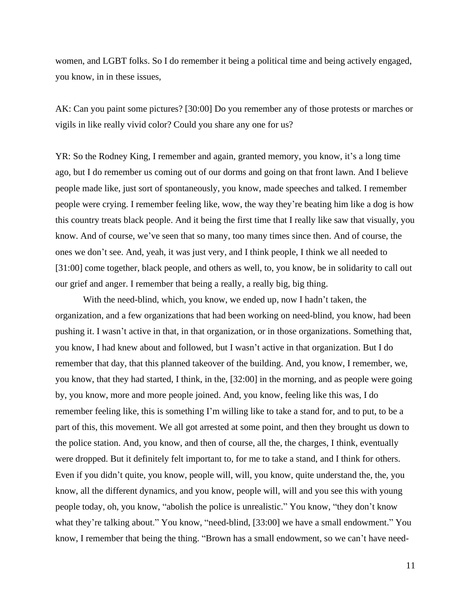women, and LGBT folks. So I do remember it being a political time and being actively engaged, you know, in in these issues,

AK: Can you paint some pictures? [30:00] Do you remember any of those protests or marches or vigils in like really vivid color? Could you share any one for us?

YR: So the Rodney King, I remember and again, granted memory, you know, it's a long time ago, but I do remember us coming out of our dorms and going on that front lawn. And I believe people made like, just sort of spontaneously, you know, made speeches and talked. I remember people were crying. I remember feeling like, wow, the way they're beating him like a dog is how this country treats black people. And it being the first time that I really like saw that visually, you know. And of course, we've seen that so many, too many times since then. And of course, the ones we don't see. And, yeah, it was just very, and I think people, I think we all needed to [31:00] come together, black people, and others as well, to, you know, be in solidarity to call out our grief and anger. I remember that being a really, a really big, big thing.

With the need-blind, which, you know, we ended up, now I hadn't taken, the organization, and a few organizations that had been working on need-blind, you know, had been pushing it. I wasn't active in that, in that organization, or in those organizations. Something that, you know, I had knew about and followed, but I wasn't active in that organization. But I do remember that day, that this planned takeover of the building. And, you know, I remember, we, you know, that they had started, I think, in the, [32:00] in the morning, and as people were going by, you know, more and more people joined. And, you know, feeling like this was, I do remember feeling like, this is something I'm willing like to take a stand for, and to put, to be a part of this, this movement. We all got arrested at some point, and then they brought us down to the police station. And, you know, and then of course, all the, the charges, I think, eventually were dropped. But it definitely felt important to, for me to take a stand, and I think for others. Even if you didn't quite, you know, people will, will, you know, quite understand the, the, you know, all the different dynamics, and you know, people will, will and you see this with young people today, oh, you know, "abolish the police is unrealistic." You know, "they don't know what they're talking about." You know, "need-blind, [33:00] we have a small endowment." You know, I remember that being the thing. "Brown has a small endowment, so we can't have need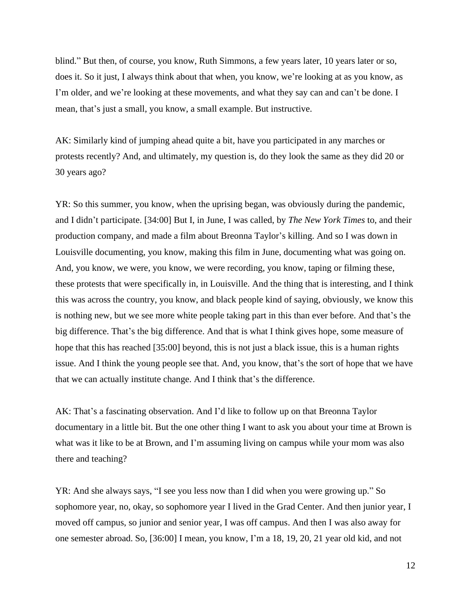blind." But then, of course, you know, Ruth Simmons, a few years later, 10 years later or so, does it. So it just, I always think about that when, you know, we're looking at as you know, as I'm older, and we're looking at these movements, and what they say can and can't be done. I mean, that's just a small, you know, a small example. But instructive.

AK: Similarly kind of jumping ahead quite a bit, have you participated in any marches or protests recently? And, and ultimately, my question is, do they look the same as they did 20 or 30 years ago?

YR: So this summer, you know, when the uprising began, was obviously during the pandemic, and I didn't participate. [34:00] But I, in June, I was called, by *The New York Times* to, and their production company, and made a film about Breonna Taylor's killing. And so I was down in Louisville documenting, you know, making this film in June, documenting what was going on. And, you know, we were, you know, we were recording, you know, taping or filming these, these protests that were specifically in, in Louisville. And the thing that is interesting, and I think this was across the country, you know, and black people kind of saying, obviously, we know this is nothing new, but we see more white people taking part in this than ever before. And that's the big difference. That's the big difference. And that is what I think gives hope, some measure of hope that this has reached [35:00] beyond, this is not just a black issue, this is a human rights issue. And I think the young people see that. And, you know, that's the sort of hope that we have that we can actually institute change. And I think that's the difference.

AK: That's a fascinating observation. And I'd like to follow up on that Breonna Taylor documentary in a little bit. But the one other thing I want to ask you about your time at Brown is what was it like to be at Brown, and I'm assuming living on campus while your mom was also there and teaching?

YR: And she always says, "I see you less now than I did when you were growing up." So sophomore year, no, okay, so sophomore year I lived in the Grad Center. And then junior year, I moved off campus, so junior and senior year, I was off campus. And then I was also away for one semester abroad. So, [36:00] I mean, you know, I'm a 18, 19, 20, 21 year old kid, and not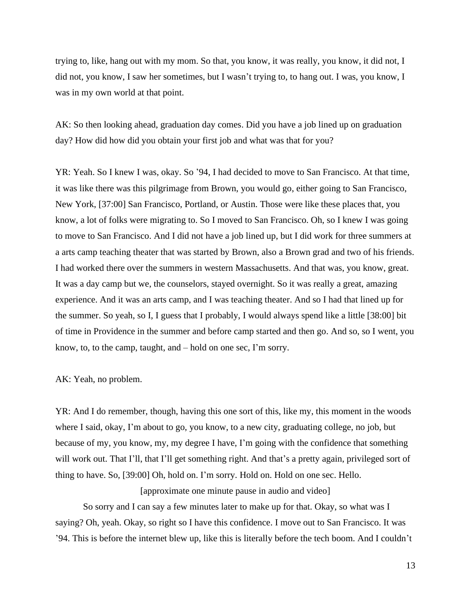trying to, like, hang out with my mom. So that, you know, it was really, you know, it did not, I did not, you know, I saw her sometimes, but I wasn't trying to, to hang out. I was, you know, I was in my own world at that point.

AK: So then looking ahead, graduation day comes. Did you have a job lined up on graduation day? How did how did you obtain your first job and what was that for you?

YR: Yeah. So I knew I was, okay. So '94, I had decided to move to San Francisco. At that time, it was like there was this pilgrimage from Brown, you would go, either going to San Francisco, New York, [37:00] San Francisco, Portland, or Austin. Those were like these places that, you know, a lot of folks were migrating to. So I moved to San Francisco. Oh, so I knew I was going to move to San Francisco. And I did not have a job lined up, but I did work for three summers at a arts camp teaching theater that was started by Brown, also a Brown grad and two of his friends. I had worked there over the summers in western Massachusetts. And that was, you know, great. It was a day camp but we, the counselors, stayed overnight. So it was really a great, amazing experience. And it was an arts camp, and I was teaching theater. And so I had that lined up for the summer. So yeah, so I, I guess that I probably, I would always spend like a little [38:00] bit of time in Providence in the summer and before camp started and then go. And so, so I went, you know, to, to the camp, taught, and – hold on one sec, I'm sorry.

AK: Yeah, no problem.

YR: And I do remember, though, having this one sort of this, like my, this moment in the woods where I said, okay, I'm about to go, you know, to a new city, graduating college, no job, but because of my, you know, my, my degree I have, I'm going with the confidence that something will work out. That I'll, that I'll get something right. And that's a pretty again, privileged sort of thing to have. So, [39:00] Oh, hold on. I'm sorry. Hold on. Hold on one sec. Hello.

[approximate one minute pause in audio and video]

So sorry and I can say a few minutes later to make up for that. Okay, so what was I saying? Oh, yeah. Okay, so right so I have this confidence. I move out to San Francisco. It was '94. This is before the internet blew up, like this is literally before the tech boom. And I couldn't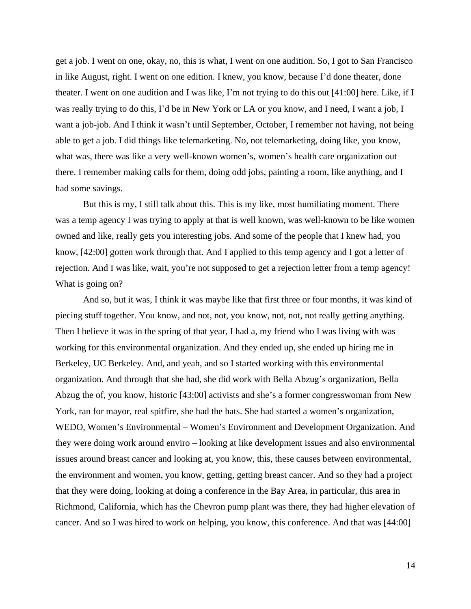get a job. I went on one, okay, no, this is what, I went on one audition. So, I got to San Francisco in like August, right. I went on one edition. I knew, you know, because I'd done theater, done theater. I went on one audition and I was like, I'm not trying to do this out [41:00] here. Like, if I was really trying to do this, I'd be in New York or LA or you know, and I need, I want a job, I want a job-job. And I think it wasn't until September, October, I remember not having, not being able to get a job. I did things like telemarketing. No, not telemarketing, doing like, you know, what was, there was like a very well-known women's, women's health care organization out there. I remember making calls for them, doing odd jobs, painting a room, like anything, and I had some savings.

But this is my, I still talk about this. This is my like, most humiliating moment. There was a temp agency I was trying to apply at that is well known, was well-known to be like women owned and like, really gets you interesting jobs. And some of the people that I knew had, you know, [42:00] gotten work through that. And I applied to this temp agency and I got a letter of rejection. And I was like, wait, you're not supposed to get a rejection letter from a temp agency! What is going on?

And so, but it was, I think it was maybe like that first three or four months, it was kind of piecing stuff together. You know, and not, not, you know, not, not, not really getting anything. Then I believe it was in the spring of that year, I had a, my friend who I was living with was working for this environmental organization. And they ended up, she ended up hiring me in Berkeley, UC Berkeley. And, and yeah, and so I started working with this environmental organization. And through that she had, she did work with Bella Abzug's organization, Bella Abzug the of, you know, historic [43:00] activists and she's a former congresswoman from New York, ran for mayor, real spitfire, she had the hats. She had started a women's organization, WEDO, Women's Environmental – Women's Environment and Development Organization. And they were doing work around enviro – looking at like development issues and also environmental issues around breast cancer and looking at, you know, this, these causes between environmental, the environment and women, you know, getting, getting breast cancer. And so they had a project that they were doing, looking at doing a conference in the Bay Area, in particular, this area in Richmond, California, which has the Chevron pump plant was there, they had higher elevation of cancer. And so I was hired to work on helping, you know, this conference. And that was [44:00]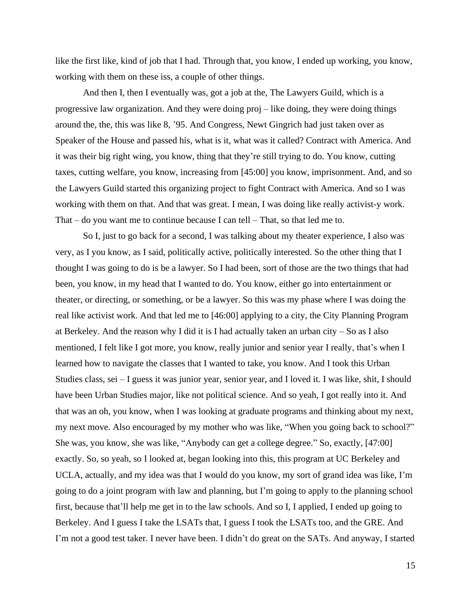like the first like, kind of job that I had. Through that, you know, I ended up working, you know, working with them on these iss, a couple of other things.

And then I, then I eventually was, got a job at the, The Lawyers Guild, which is a progressive law organization. And they were doing proj – like doing, they were doing things around the, the, this was like 8, '95. And Congress, Newt Gingrich had just taken over as Speaker of the House and passed his, what is it, what was it called? Contract with America. And it was their big right wing, you know, thing that they're still trying to do. You know, cutting taxes, cutting welfare, you know, increasing from [45:00] you know, imprisonment. And, and so the Lawyers Guild started this organizing project to fight Contract with America. And so I was working with them on that. And that was great. I mean, I was doing like really activist-y work. That – do you want me to continue because I can tell – That, so that led me to.

So I, just to go back for a second, I was talking about my theater experience, I also was very, as I you know, as I said, politically active, politically interested. So the other thing that I thought I was going to do is be a lawyer. So I had been, sort of those are the two things that had been, you know, in my head that I wanted to do. You know, either go into entertainment or theater, or directing, or something, or be a lawyer. So this was my phase where I was doing the real like activist work. And that led me to [46:00] applying to a city, the City Planning Program at Berkeley. And the reason why I did it is I had actually taken an urban city – So as I also mentioned, I felt like I got more, you know, really junior and senior year I really, that's when I learned how to navigate the classes that I wanted to take, you know. And I took this Urban Studies class, sei – I guess it was junior year, senior year, and I loved it. I was like, shit, I should have been Urban Studies major, like not political science. And so yeah, I got really into it. And that was an oh, you know, when I was looking at graduate programs and thinking about my next, my next move. Also encouraged by my mother who was like, "When you going back to school?" She was, you know, she was like, "Anybody can get a college degree." So, exactly, [47:00] exactly. So, so yeah, so I looked at, began looking into this, this program at UC Berkeley and UCLA, actually, and my idea was that I would do you know, my sort of grand idea was like, I'm going to do a joint program with law and planning, but I'm going to apply to the planning school first, because that'll help me get in to the law schools. And so I, I applied, I ended up going to Berkeley. And I guess I take the LSATs that, I guess I took the LSATs too, and the GRE. And I'm not a good test taker. I never have been. I didn't do great on the SATs. And anyway, I started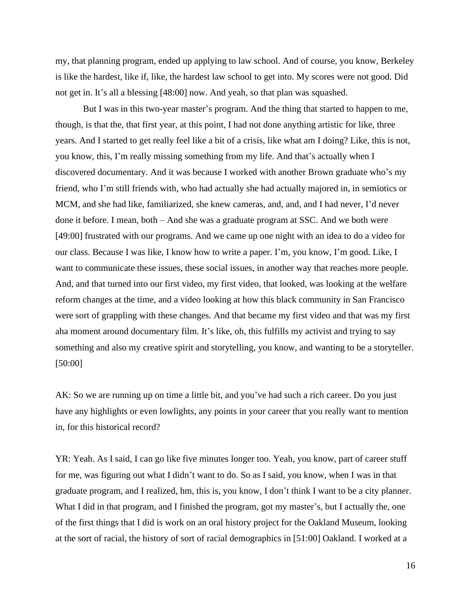my, that planning program, ended up applying to law school. And of course, you know, Berkeley is like the hardest, like if, like, the hardest law school to get into. My scores were not good. Did not get in. It's all a blessing [48:00] now. And yeah, so that plan was squashed.

But I was in this two-year master's program. And the thing that started to happen to me, though, is that the, that first year, at this point, I had not done anything artistic for like, three years. And I started to get really feel like a bit of a crisis, like what am I doing? Like, this is not, you know, this, I'm really missing something from my life. And that's actually when I discovered documentary. And it was because I worked with another Brown graduate who's my friend, who I'm still friends with, who had actually she had actually majored in, in semiotics or MCM, and she had like, familiarized, she knew cameras, and, and, and I had never, I'd never done it before. I mean, both – And she was a graduate program at SSC. And we both were [49:00] frustrated with our programs. And we came up one night with an idea to do a video for our class. Because I was like, I know how to write a paper. I'm, you know, I'm good. Like, I want to communicate these issues, these social issues, in another way that reaches more people. And, and that turned into our first video, my first video, that looked, was looking at the welfare reform changes at the time, and a video looking at how this black community in San Francisco were sort of grappling with these changes. And that became my first video and that was my first aha moment around documentary film. It's like, oh, this fulfills my activist and trying to say something and also my creative spirit and storytelling, you know, and wanting to be a storyteller. [50:00]

AK: So we are running up on time a little bit, and you've had such a rich career. Do you just have any highlights or even lowlights, any points in your career that you really want to mention in, for this historical record?

YR: Yeah. As I said, I can go like five minutes longer too. Yeah, you know, part of career stuff for me, was figuring out what I didn't want to do. So as I said, you know, when I was in that graduate program, and I realized, hm, this is, you know, I don't think I want to be a city planner. What I did in that program, and I finished the program, got my master's, but I actually the, one of the first things that I did is work on an oral history project for the Oakland Museum, looking at the sort of racial, the history of sort of racial demographics in [51:00] Oakland. I worked at a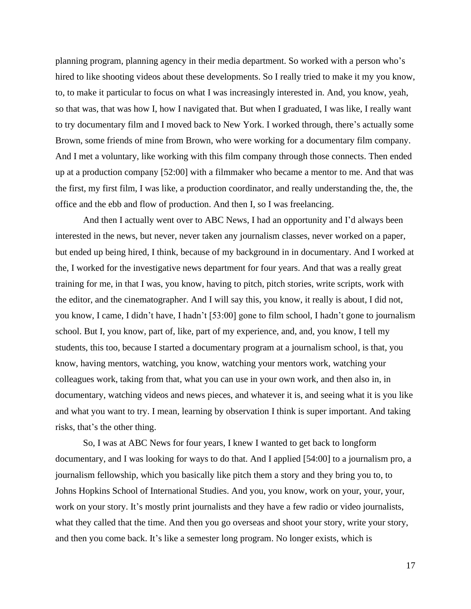planning program, planning agency in their media department. So worked with a person who's hired to like shooting videos about these developments. So I really tried to make it my you know, to, to make it particular to focus on what I was increasingly interested in. And, you know, yeah, so that was, that was how I, how I navigated that. But when I graduated, I was like, I really want to try documentary film and I moved back to New York. I worked through, there's actually some Brown, some friends of mine from Brown, who were working for a documentary film company. And I met a voluntary, like working with this film company through those connects. Then ended up at a production company [52:00] with a filmmaker who became a mentor to me. And that was the first, my first film, I was like, a production coordinator, and really understanding the, the, the office and the ebb and flow of production. And then I, so I was freelancing.

And then I actually went over to ABC News, I had an opportunity and I'd always been interested in the news, but never, never taken any journalism classes, never worked on a paper, but ended up being hired, I think, because of my background in in documentary. And I worked at the, I worked for the investigative news department for four years. And that was a really great training for me, in that I was, you know, having to pitch, pitch stories, write scripts, work with the editor, and the cinematographer. And I will say this, you know, it really is about, I did not, you know, I came, I didn't have, I hadn't [53:00] gone to film school, I hadn't gone to journalism school. But I, you know, part of, like, part of my experience, and, and, you know, I tell my students, this too, because I started a documentary program at a journalism school, is that, you know, having mentors, watching, you know, watching your mentors work, watching your colleagues work, taking from that, what you can use in your own work, and then also in, in documentary, watching videos and news pieces, and whatever it is, and seeing what it is you like and what you want to try. I mean, learning by observation I think is super important. And taking risks, that's the other thing.

So, I was at ABC News for four years, I knew I wanted to get back to longform documentary, and I was looking for ways to do that. And I applied [54:00] to a journalism pro, a journalism fellowship, which you basically like pitch them a story and they bring you to, to Johns Hopkins School of International Studies. And you, you know, work on your, your, your, work on your story. It's mostly print journalists and they have a few radio or video journalists, what they called that the time. And then you go overseas and shoot your story, write your story, and then you come back. It's like a semester long program. No longer exists, which is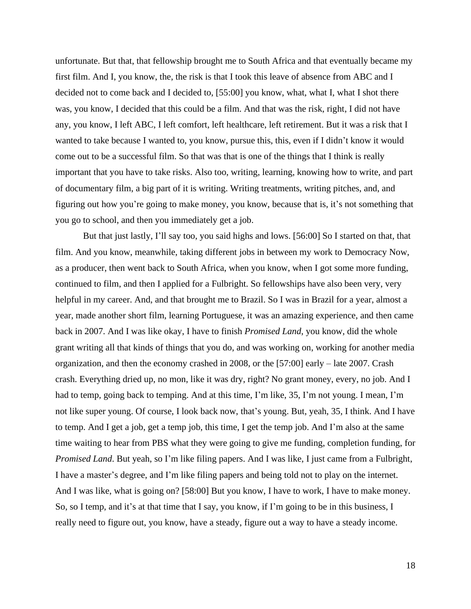unfortunate. But that, that fellowship brought me to South Africa and that eventually became my first film. And I, you know, the, the risk is that I took this leave of absence from ABC and I decided not to come back and I decided to, [55:00] you know, what, what I, what I shot there was, you know, I decided that this could be a film. And that was the risk, right, I did not have any, you know, I left ABC, I left comfort, left healthcare, left retirement. But it was a risk that I wanted to take because I wanted to, you know, pursue this, this, even if I didn't know it would come out to be a successful film. So that was that is one of the things that I think is really important that you have to take risks. Also too, writing, learning, knowing how to write, and part of documentary film, a big part of it is writing. Writing treatments, writing pitches, and, and figuring out how you're going to make money, you know, because that is, it's not something that you go to school, and then you immediately get a job.

But that just lastly, I'll say too, you said highs and lows. [56:00] So I started on that, that film. And you know, meanwhile, taking different jobs in between my work to Democracy Now, as a producer, then went back to South Africa, when you know, when I got some more funding, continued to film, and then I applied for a Fulbright. So fellowships have also been very, very helpful in my career. And, and that brought me to Brazil. So I was in Brazil for a year, almost a year, made another short film, learning Portuguese, it was an amazing experience, and then came back in 2007. And I was like okay, I have to finish *Promised Land*, you know, did the whole grant writing all that kinds of things that you do, and was working on, working for another media organization, and then the economy crashed in 2008, or the [57:00] early – late 2007. Crash crash. Everything dried up, no mon, like it was dry, right? No grant money, every, no job. And I had to temp, going back to temping. And at this time, I'm like, 35, I'm not young. I mean, I'm not like super young. Of course, I look back now, that's young. But, yeah, 35, I think. And I have to temp. And I get a job, get a temp job, this time, I get the temp job. And I'm also at the same time waiting to hear from PBS what they were going to give me funding, completion funding, for *Promised Land*. But yeah, so I'm like filing papers. And I was like, I just came from a Fulbright, I have a master's degree, and I'm like filing papers and being told not to play on the internet. And I was like, what is going on? [58:00] But you know, I have to work, I have to make money. So, so I temp, and it's at that time that I say, you know, if I'm going to be in this business, I really need to figure out, you know, have a steady, figure out a way to have a steady income.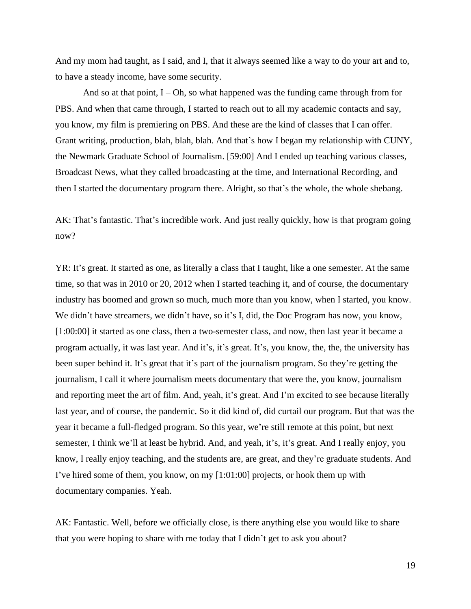And my mom had taught, as I said, and I, that it always seemed like a way to do your art and to, to have a steady income, have some security.

And so at that point,  $I - Oh$ , so what happened was the funding came through from for PBS. And when that came through, I started to reach out to all my academic contacts and say, you know, my film is premiering on PBS. And these are the kind of classes that I can offer. Grant writing, production, blah, blah, blah. And that's how I began my relationship with CUNY, the Newmark Graduate School of Journalism. [59:00] And I ended up teaching various classes, Broadcast News, what they called broadcasting at the time, and International Recording, and then I started the documentary program there. Alright, so that's the whole, the whole shebang.

AK: That's fantastic. That's incredible work. And just really quickly, how is that program going now?

YR: It's great. It started as one, as literally a class that I taught, like a one semester. At the same time, so that was in 2010 or 20, 2012 when I started teaching it, and of course, the documentary industry has boomed and grown so much, much more than you know, when I started, you know. We didn't have streamers, we didn't have, so it's I, did, the Doc Program has now, you know, [1:00:00] it started as one class, then a two-semester class, and now, then last year it became a program actually, it was last year. And it's, it's great. It's, you know, the, the, the university has been super behind it. It's great that it's part of the journalism program. So they're getting the journalism, I call it where journalism meets documentary that were the, you know, journalism and reporting meet the art of film. And, yeah, it's great. And I'm excited to see because literally last year, and of course, the pandemic. So it did kind of, did curtail our program. But that was the year it became a full-fledged program. So this year, we're still remote at this point, but next semester, I think we'll at least be hybrid. And, and yeah, it's, it's great. And I really enjoy, you know, I really enjoy teaching, and the students are, are great, and they're graduate students. And I've hired some of them, you know, on my [1:01:00] projects, or hook them up with documentary companies. Yeah.

AK: Fantastic. Well, before we officially close, is there anything else you would like to share that you were hoping to share with me today that I didn't get to ask you about?